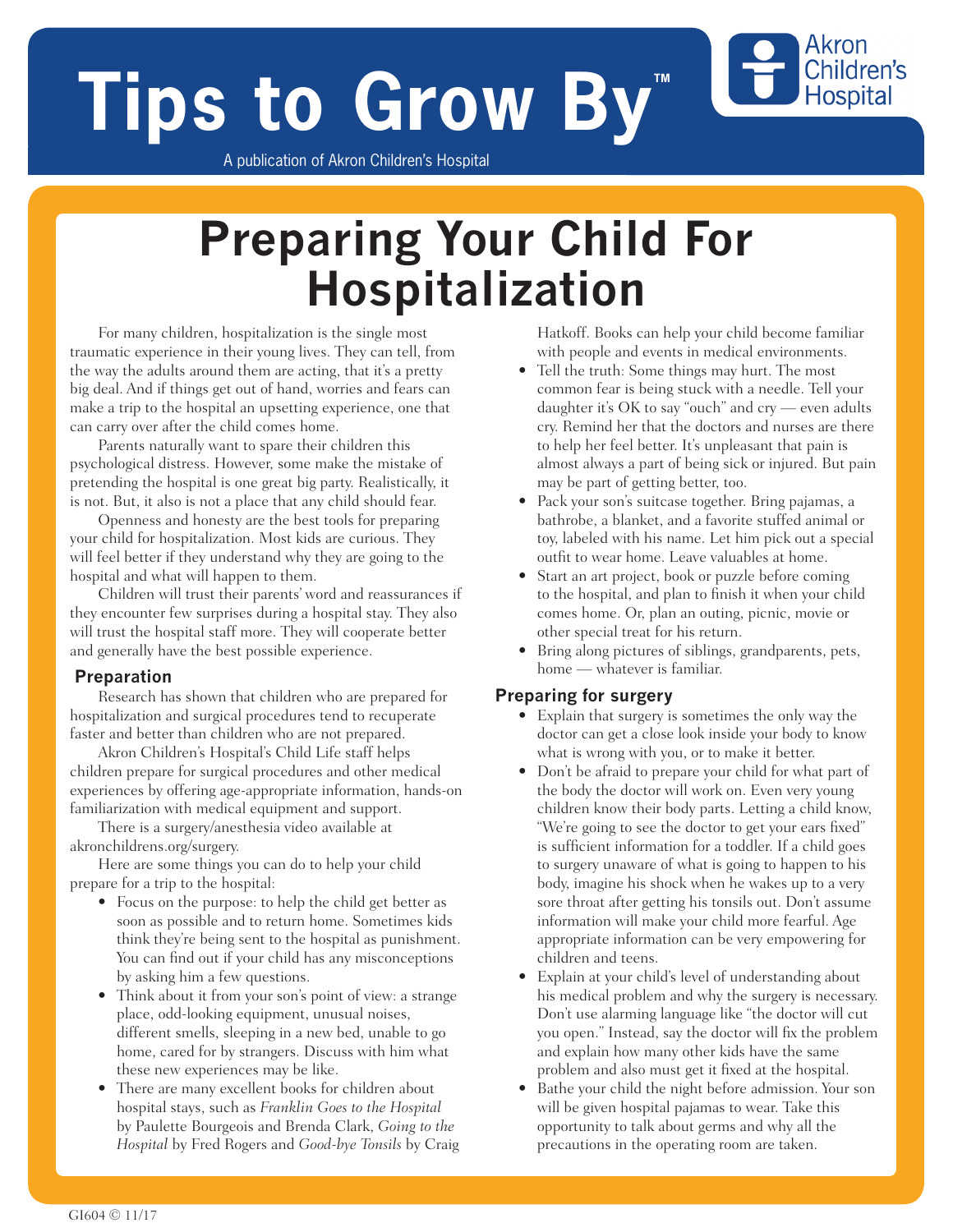# **Tips to Grow By**

A publication of Akron Children's Hospital

## **Preparing Your Child For Hospitalization**

For many children, hospitalization is the single most traumatic experience in their young lives. They can tell, from the way the adults around them are acting, that it's a pretty big deal. And if things get out of hand, worries and fears can make a trip to the hospital an upsetting experience, one that can carry over after the child comes home.

Parents naturally want to spare their children this psychological distress. However, some make the mistake of pretending the hospital is one great big party. Realistically, it is not. But, it also is not a place that any child should fear.

Openness and honesty are the best tools for preparing your child for hospitalization. Most kids are curious. They will feel better if they understand why they are going to the hospital and what will happen to them.

Children will trust their parents' word and reassurances if they encounter few surprises during a hospital stay. They also will trust the hospital staff more. They will cooperate better and generally have the best possible experience.

#### **Preparation**

Research has shown that children who are prepared for hospitalization and surgical procedures tend to recuperate faster and better than children who are not prepared.

Akron Children's Hospital's Child Life staff helps children prepare for surgical procedures and other medical experiences by offering age-appropriate information, hands-on familiarization with medical equipment and support.

There is a surgery/anesthesia video available at akronchildrens.org/surgery.

Here are some things you can do to help your child prepare for a trip to the hospital:

- Focus on the purpose: to help the child get better as soon as possible and to return home. Sometimes kids think they're being sent to the hospital as punishment. You can find out if your child has any misconceptions by asking him a few questions.
- Think about it from your son's point of view: a strange place, odd-looking equipment, unusual noises, different smells, sleeping in a new bed, unable to go home, cared for by strangers. Discuss with him what these new experiences may be like.
- There are many excellent books for children about hospital stays, such as *Franklin Goes to the Hospital* by Paulette Bourgeois and Brenda Clark, *Going to the Hospital* by Fred Rogers and *Good-bye Tonsils* by Craig

Hatkoff. Books can help your child become familiar with people and events in medical environments.

Akron Children's **Hospital** 

- Tell the truth: Some things may hurt. The most common fear is being stuck with a needle. Tell your daughter it's OK to say "ouch" and cry — even adults cry. Remind her that the doctors and nurses are there to help her feel better. It's unpleasant that pain is almost always a part of being sick or injured. But pain may be part of getting better, too.
- Pack your son's suitcase together. Bring pajamas, a bathrobe, a blanket, and a favorite stuffed animal or toy, labeled with his name. Let him pick out a special outfit to wear home. Leave valuables at home.
- Start an art project, book or puzzle before coming to the hospital, and plan to finish it when your child comes home. Or, plan an outing, picnic, movie or other special treat for his return.
- Bring along pictures of siblings, grandparents, pets, home — whatever is familiar.

#### **Preparing for surgery**

- Explain that surgery is sometimes the only way the doctor can get a close look inside your body to know what is wrong with you, or to make it better.
- Don't be afraid to prepare your child for what part of the body the doctor will work on. Even very young children know their body parts. Letting a child know, "We're going to see the doctor to get your ears fixed" is sufficient information for a toddler. If a child goes to surgery unaware of what is going to happen to his body, imagine his shock when he wakes up to a very sore throat after getting his tonsils out. Don't assume information will make your child more fearful. Age appropriate information can be very empowering for children and teens.
- Explain at your child's level of understanding about his medical problem and why the surgery is necessary. Don't use alarming language like "the doctor will cut you open." Instead, say the doctor will fix the problem and explain how many other kids have the same problem and also must get it fixed at the hospital.
- Bathe your child the night before admission. Your son will be given hospital pajamas to wear. Take this opportunity to talk about germs and why all the precautions in the operating room are taken.